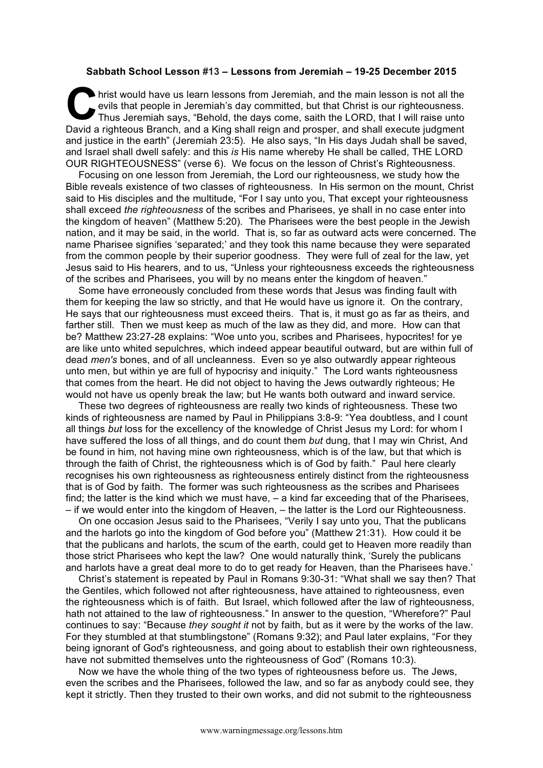## **Sabbath School Lesson #13 – Lessons from Jeremiah – 19-25 December 2015**

hrist would have us learn lessons from Jeremiah, and the main lesson is not all the evils that people in Jeremiah's day committed, but that Christ is our righteousness. Thus Jeremiah says, "Behold, the days come, saith the LORD, that I will raise unto David a righteous Branch, and a King shall reign and prosper, and shall execute judgment and justice in the earth" (Jeremiah 23:5). He also says, "In His days Judah shall be saved, and Israel shall dwell safely: and this *is* His name whereby He shall be called, THE LORD OUR RIGHTEOUSNESS" (verse 6). We focus on the lesson of Christ's Righteousness. C evit evit Th

Focusing on one lesson from Jeremiah, the Lord our righteousness, we study how the Bible reveals existence of two classes of righteousness. In His sermon on the mount, Christ said to His disciples and the multitude, "For I say unto you, That except your righteousness shall exceed *the righteousness* of the scribes and Pharisees, ye shall in no case enter into the kingdom of heaven" (Matthew 5:20). The Pharisees were the best people in the Jewish nation, and it may be said, in the world. That is, so far as outward acts were concerned. The name Pharisee signifies 'separated;' and they took this name because they were separated from the common people by their superior goodness. They were full of zeal for the law, yet Jesus said to His hearers, and to us, "Unless your righteousness exceeds the righteousness of the scribes and Pharisees, you will by no means enter the kingdom of heaven."

Some have erroneously concluded from these words that Jesus was finding fault with them for keeping the law so strictly, and that He would have us ignore it. On the contrary, He says that our righteousness must exceed theirs. That is, it must go as far as theirs, and farther still. Then we must keep as much of the law as they did, and more. How can that be? Matthew 23:27-28 explains: "Woe unto you, scribes and Pharisees, hypocrites! for ye are like unto whited sepulchres, which indeed appear beautiful outward, but are within full of dead *men's* bones, and of all uncleanness. Even so ye also outwardly appear righteous unto men, but within ye are full of hypocrisy and iniquity." The Lord wants righteousness that comes from the heart. He did not object to having the Jews outwardly righteous; He would not have us openly break the law; but He wants both outward and inward service.

These two degrees of righteousness are really two kinds of righteousness. These two kinds of righteousness are named by Paul in Philippians 3:8-9: "Yea doubtless, and I count all things *but* loss for the excellency of the knowledge of Christ Jesus my Lord: for whom I have suffered the loss of all things, and do count them *but* dung, that I may win Christ, And be found in him, not having mine own righteousness, which is of the law, but that which is through the faith of Christ, the righteousness which is of God by faith." Paul here clearly recognises his own righteousness as righteousness entirely distinct from the righteousness that is of God by faith. The former was such righteousness as the scribes and Pharisees find; the latter is the kind which we must have, – a kind far exceeding that of the Pharisees, – if we would enter into the kingdom of Heaven, – the latter is the Lord our Righteousness.

On one occasion Jesus said to the Pharisees, "Verily I say unto you, That the publicans and the harlots go into the kingdom of God before you" (Matthew 21:31). How could it be that the publicans and harlots, the scum of the earth, could get to Heaven more readily than those strict Pharisees who kept the law? One would naturally think, 'Surely the publicans and harlots have a great deal more to do to get ready for Heaven, than the Pharisees have.'

Christ's statement is repeated by Paul in Romans 9:30-31: "What shall we say then? That the Gentiles, which followed not after righteousness, have attained to righteousness, even the righteousness which is of faith. But Israel, which followed after the law of righteousness, hath not attained to the law of righteousness." In answer to the question, "Wherefore?" Paul continues to say: "Because *they sought it* not by faith, but as it were by the works of the law. For they stumbled at that stumblingstone" (Romans 9:32); and Paul later explains, "For they being ignorant of God's righteousness, and going about to establish their own righteousness, have not submitted themselves unto the righteousness of God" (Romans 10:3).

Now we have the whole thing of the two types of righteousness before us. The Jews, even the scribes and the Pharisees, followed the law, and so far as anybody could see, they kept it strictly. Then they trusted to their own works, and did not submit to the righteousness